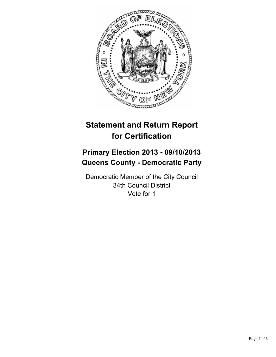

# **Statement and Return Report for Certification**

## **Primary Election 2013 - 09/10/2013 Queens County - Democratic Party**

Democratic Member of the City Council 34th Council District Vote for 1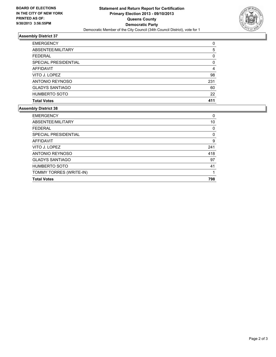

## **Assembly District 37**

| <b>EMERGENCY</b>       | $\Omega$ |
|------------------------|----------|
| ABSENTEE/MILITARY      | 5        |
| <b>FEDERAL</b>         | 0        |
| SPECIAL PRESIDENTIAL   | $\Omega$ |
| <b>AFFIDAVIT</b>       | 4        |
| VITO J. LOPEZ          | 98       |
| ANTONIO REYNOSO        | 231      |
| <b>GLADYS SANTIAGO</b> | 60       |
| HUMBERTO SOTO          | 22       |
| <b>Total Votes</b>     | 411      |

### **Assembly District 38**

| <b>EMERGENCY</b>        | 0   |
|-------------------------|-----|
| ABSENTEE/MILITARY       | 10  |
| <b>FEDERAL</b>          | 0   |
| SPECIAL PRESIDENTIAL    | 0   |
| <b>AFFIDAVIT</b>        | 9   |
| VITO J. LOPEZ           | 241 |
| ANTONIO REYNOSO         | 418 |
| <b>GLADYS SANTIAGO</b>  | 97  |
| <b>HUMBERTO SOTO</b>    | 41  |
| TOMMY TORRES (WRITE-IN) |     |
| <b>Total Votes</b>      | 798 |